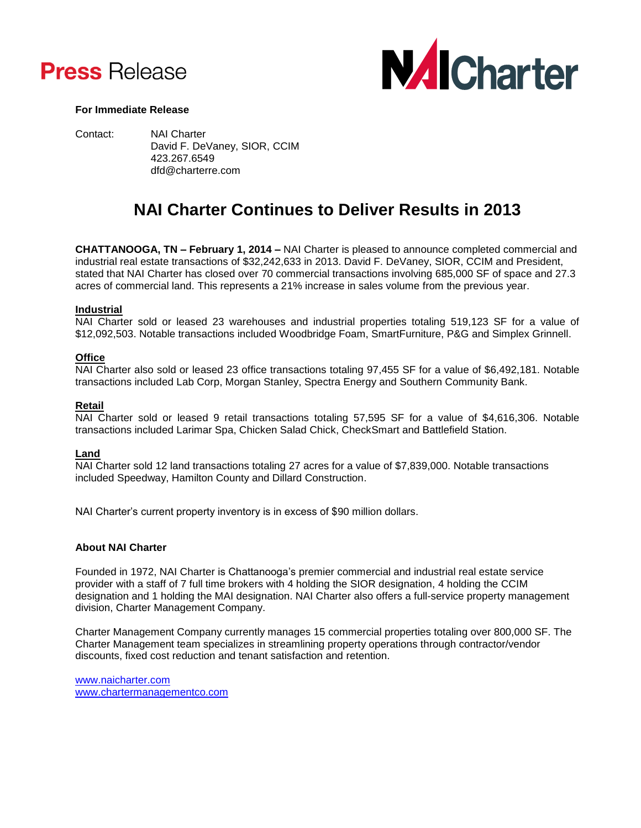



## **For Immediate Release**

Contact: NAI Charter David F. DeVaney, SIOR, CCIM 423.267.6549 dfd@charterre.com

# **NAI Charter Continues to Deliver Results in 2013**

**CHATTANOOGA, TN – February 1, 2014 –** NAI Charter is pleased to announce completed commercial and industrial real estate transactions of \$32,242,633 in 2013. David F. DeVaney, SIOR, CCIM and President, stated that NAI Charter has closed over 70 commercial transactions involving 685,000 SF of space and 27.3 acres of commercial land. This represents a 21% increase in sales volume from the previous year.

#### **Industrial**

NAI Charter sold or leased 23 warehouses and industrial properties totaling 519,123 SF for a value of \$12,092,503. Notable transactions included Woodbridge Foam, SmartFurniture, P&G and Simplex Grinnell.

# **Office**

NAI Charter also sold or leased 23 office transactions totaling 97,455 SF for a value of \$6,492,181. Notable transactions included Lab Corp, Morgan Stanley, Spectra Energy and Southern Community Bank.

#### **Retail**

NAI Charter sold or leased 9 retail transactions totaling 57,595 SF for a value of \$4,616,306. Notable transactions included Larimar Spa, Chicken Salad Chick, CheckSmart and Battlefield Station.

#### **Land**

NAI Charter sold 12 land transactions totaling 27 acres for a value of \$7,839,000. Notable transactions included Speedway, Hamilton County and Dillard Construction.

NAI Charter's current property inventory is in excess of \$90 million dollars.

# **About NAI Charter**

Founded in 1972, NAI Charter is Chattanooga's premier commercial and industrial real estate service provider with a staff of 7 full time brokers with 4 holding the SIOR designation, 4 holding the CCIM designation and 1 holding the MAI designation. NAI Charter also offers a full-service property management division, Charter Management Company.

Charter Management Company currently manages 15 commercial properties totaling over 800,000 SF. The Charter Management team specializes in streamlining property operations through contractor/vendor discounts, fixed cost reduction and tenant satisfaction and retention.

[www.naicharter.com](http://www.naicharter.com/) [www.chartermanagementco.com](http://www.chartermanagementco.com/)